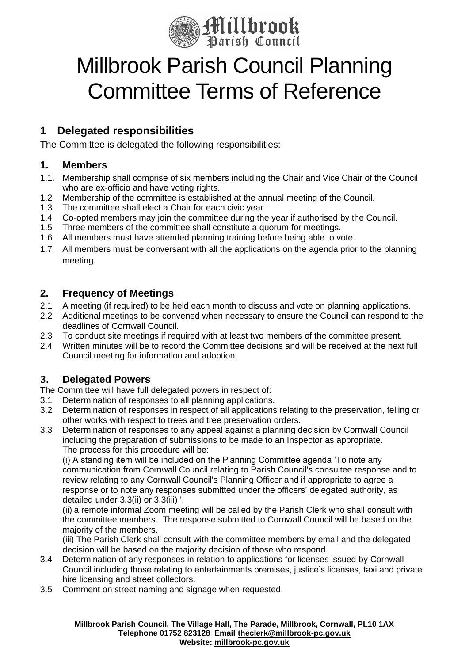

# Millbrook Parish Council Planning Committee Terms of Reference

## **1 Delegated responsibilities**

The Committee is delegated the following responsibilities:

#### **1. Members**

- 1.1. Membership shall comprise of six members including the Chair and Vice Chair of the Council who are ex-officio and have voting rights.
- 1.2 Membership of the committee is established at the annual meeting of the Council.
- 1.3 The committee shall elect a Chair for each civic year
- 1.4 Co-opted members may join the committee during the year if authorised by the Council.
- 1.5 Three members of the committee shall constitute a quorum for meetings.
- 1.6 All members must have attended planning training before being able to vote.
- 1.7 All members must be conversant with all the applications on the agenda prior to the planning meeting.

#### **2. Frequency of Meetings**

- 2.1 A meeting (if required) to be held each month to discuss and vote on planning applications.
- 2.2 Additional meetings to be convened when necessary to ensure the Council can respond to the deadlines of Cornwall Council.
- 2.3 To conduct site meetings if required with at least two members of the committee present.
- 2.4 Written minutes will be to record the Committee decisions and will be received at the next full Council meeting for information and adoption.

### **3. Delegated Powers**

The Committee will have full delegated powers in respect of:

- 3.1 Determination of responses to all planning applications.
- 3.2 Determination of responses in respect of all applications relating to the preservation, felling or other works with respect to trees and tree preservation orders.
- 3.3 Determination of responses to any appeal against a planning decision by Cornwall Council including the preparation of submissions to be made to an Inspector as appropriate. The process for this procedure will be:

(i) A standing item will be included on the Planning Committee agenda 'To note any communication from Cornwall Council relating to Parish Council's consultee response and to review relating to any Cornwall Council's Planning Officer and if appropriate to agree a response or to note any responses submitted under the officers' delegated authority, as detailed under 3.3(ii) or 3.3(iii) '.

(ii) a remote informal Zoom meeting will be called by the Parish Clerk who shall consult with the committee members. The response submitted to Cornwall Council will be based on the majority of the members.

(iii) The Parish Clerk shall consult with the committee members by email and the delegated decision will be based on the majority decision of those who respond.

- 3.4 Determination of any responses in relation to applications for licenses issued by Cornwall Council including those relating to entertainments premises, justice's licenses, taxi and private hire licensing and street collectors.
- 3.5 Comment on street naming and signage when requested.

**Millbrook Parish Council, The Village Hall, The Parade, Millbrook, Cornwall, PL10 1AX Telephone 01752 823128 Email [theclerk@millbrook-pc.gov.uk](mailto:theclerk@millbrook-pc.gov.uk) Website: [millbrook-pc.gov.uk](https://millbrook-pc.gov.uk/)**